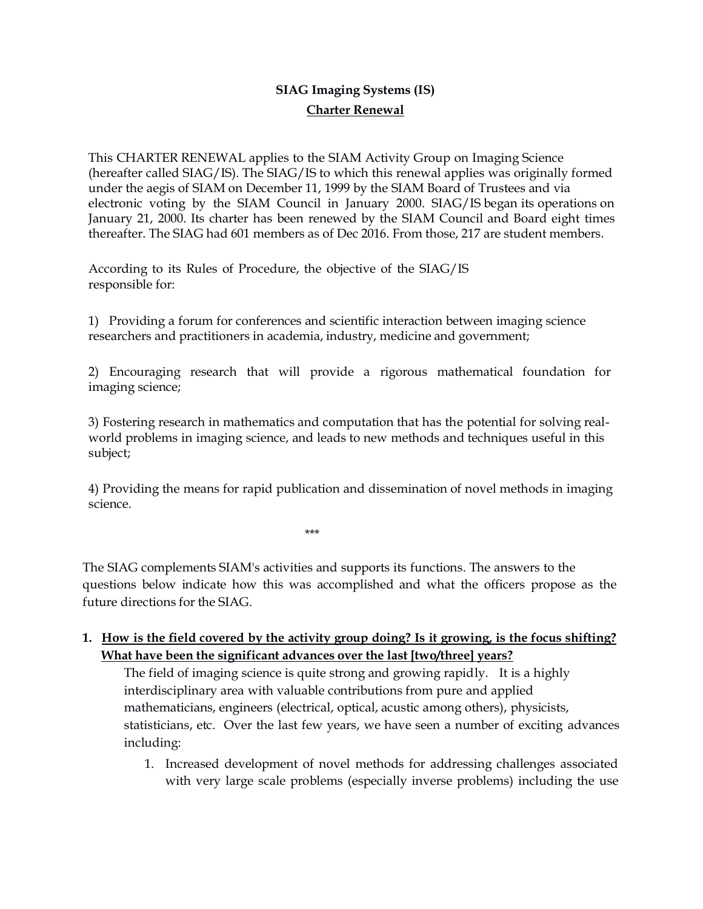# **SIAG Imaging Systems (IS) Charter Renewal**

This CHARTER RENEWAL applies to the SIAM Activity Group on Imaging Science (hereafter called SIAG/IS). The SIAG/IS to which this renewal applies was originally formed under the aegis of SIAM on December 11, 1999 by the SIAM Board of Trustees and via electronic voting by the SIAM Council in January 2000. SIAG/IS began its operations on January 21, 2000. Its charter has been renewed by the SIAM Council and Board eight times thereafter. The SIAG had 601 members as of Dec 2016. From those, 217 are student members.

According to its Rules of Procedure, the objective of the SIAG/IS responsible for:

1) Providing a forum for conferences and scientific interaction between imaging science researchers and practitioners in academia, industry, medicine and government;

2) Encouraging research that will provide a rigorous mathematical foundation for imaging science;

3) Fostering research in mathematics and computation that has the potential for solving realworld problems in imaging science, and leads to new methods and techniques useful in this subject;

4) Providing the means for rapid publication and dissemination of novel methods in imaging science.

\*\*\*

The SIAG complements SIAM's activities and supports its functions. The answers to the questions below indicate how this was accomplished and what the officers propose as the future directions for the SIAG.

#### **1. How is the field covered by the activity group doing? Is it growing, is the focus shifting? What have been the significant advances over the last [two/three] years?**

The field of imaging science is quite strong and growing rapidly. It is a highly interdisciplinary area with valuable contributions from pure and applied mathematicians, engineers (electrical, optical, acustic among others), physicists, statisticians, etc. Over the last few years, we have seen a number of exciting advances including:

1. Increased development of novel methods for addressing challenges associated with very large scale problems (especially inverse problems) including the use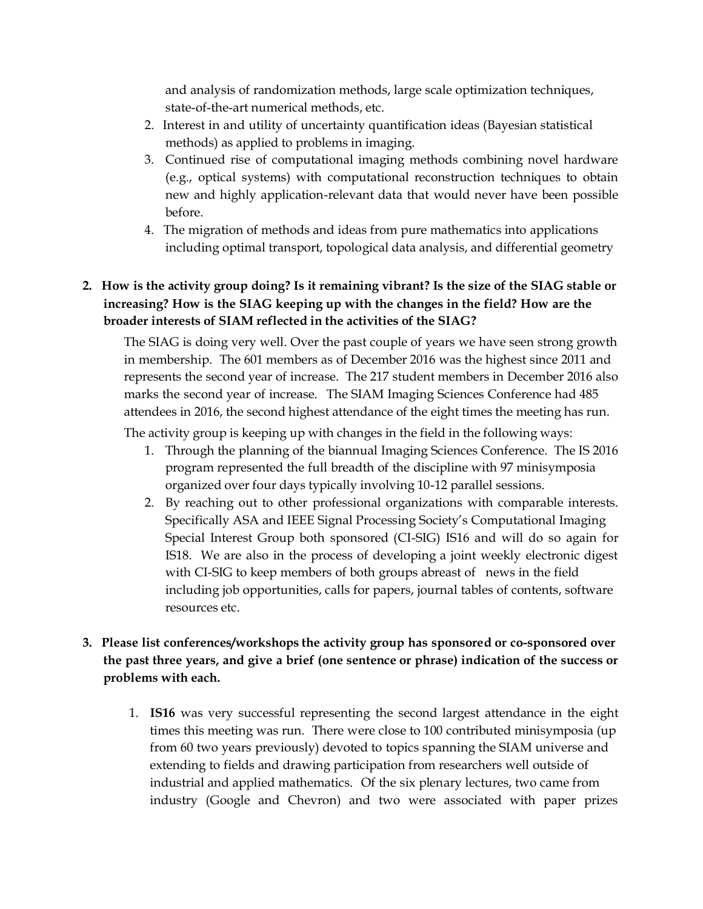and analysis of randomization methods, large scale optimization techniques, state-of-the-art numerical methods, etc.

- 2. Interest in and utility of uncertainty quantification ideas (Bayesian statistical methods) as applied to problems in imaging.
- 3. Continued rise of computational imaging methods combining novel hardware (e.g., optical systems) with computational reconstruction techniques to obtain new and highly application-relevant data that would never have been possible before.
- 4. The migration of methods and ideas from pure mathematics into applications including optimal transport, topological data analysis, and differential geometry

# **2. How is the activity group doing? Is it remaining vibrant? Is the size of the SIAG stable or increasing? How is the SIAG keeping up with the changes in the field? How are the broader interests of SIAM reflected in the activities of the SIAG?**

The SIAG is doing very well. Over the past couple of years we have seen strong growth in membership. The 601 members as of December 2016 was the highest since 2011 and represents the second year of increase. The 217 student members in December 2016 also marks the second year of increase. The SIAM Imaging Sciences Conference had 485 attendees in 2016, the second highest attendance of the eight times the meeting has run.

The activity group is keeping up with changes in the field in the following ways:

- 1. Through the planning of the biannual Imaging Sciences Conference. The IS 2016 program represented the full breadth of the discipline with 97 minisymposia organized over four days typically involving 10-12 parallel sessions.
- 2. By reaching out to other professional organizations with comparable interests. Specifically ASA and IEEE Signal Processing Society's Computational Imaging Special Interest Group both sponsored (CI-SIG) IS16 and will do so again for IS18. We are also in the process of developing a joint weekly electronic digest with CI-SIG to keep members of both groups abreast of news in the field including job opportunities, calls for papers, journal tables of contents, software resources etc.

### **3. Please list conferences/workshops the activity group has sponsored or co-sponsored over the past three years, and give a brief (one sentence or phrase) indication of the success or problems with each.**

1. **IS16** was very successful representing the second largest attendance in the eight times this meeting was run. There were close to 100 contributed minisymposia (up from 60 two years previously) devoted to topics spanning the SIAM universe and extending to fields and drawing participation from researchers well outside of industrial and applied mathematics. Of the six plenary lectures, two came from industry (Google and Chevron) and two were associated with paper prizes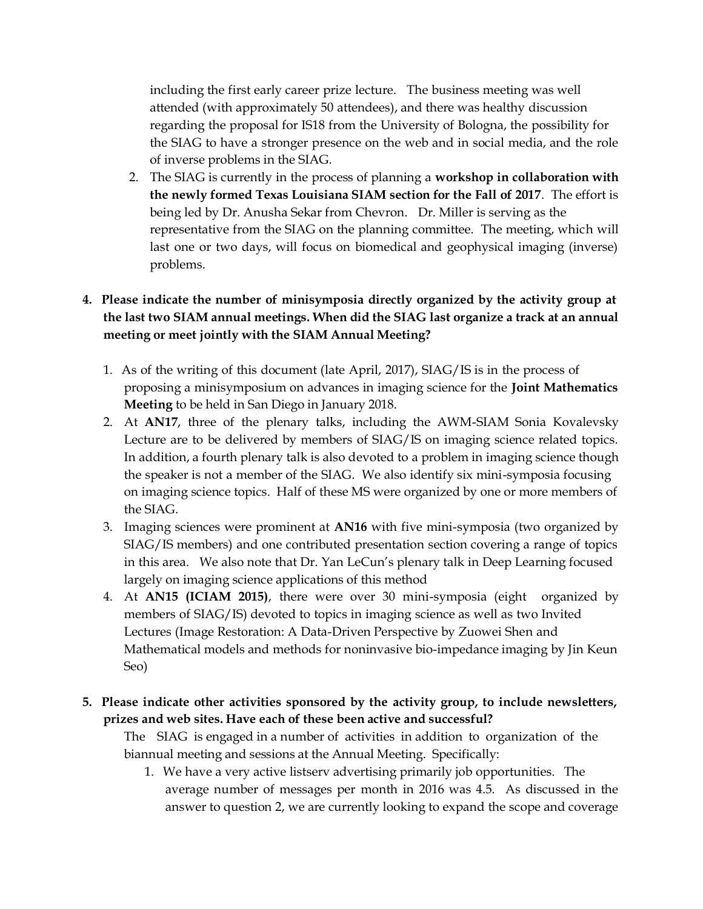including the first early career prize lecture. The business meeting was well attended (with approximately 50 attendees), and there was healthy discussion regarding the proposal for IS18 from the University of Bologna, the possibility for the SIAG to have a stronger presence on the web and in social media, and the role of inverse problems in the SIAG.

2. The SIAG is currently in the process of planning a **workshop in collaboration with the newly formed Texas Louisiana SIAM section for the Fall of 2017**. The effort is being led by Dr. Anusha Sekar from Chevron. Dr. Miller is serving as the representative from the SIAG on the planning committee. The meeting, which will last one or two days, will focus on biomedical and geophysical imaging (inverse) problems.

## **4. Please indicate the number of minisymposia directly organized by the activity group at the last two SIAM annual meetings. When did the SIAG last organize a track at an annual meeting or meet jointly with the SIAM Annual Meeting?**

- 1. As of the writing of this document (late April, 2017), SIAG/IS is in the process of proposing a minisymposium on advances in imaging science for the **Joint Mathematics Meeting** to be held in San Diego in January 2018.
- 2. At **AN17**, three of the plenary talks, including the AWM-SIAM Sonia Kovalevsky Lecture are to be delivered by members of SIAG/IS on imaging science related topics. In addition, a fourth plenary talk is also devoted to a problem in imaging science though the speaker is not a member of the SIAG. We also identify six mini-symposia focusing on imaging science topics. Half of these MS were organized by one or more members of the SIAG.
- 3. Imaging sciences were prominent at **AN16** with five mini-symposia (two organized by SIAG/IS members) and one contributed presentation section covering a range of topics in this area. We also note that Dr. Yan LeCun's plenary talk in Deep Learning focused largely on imaging science applications of this method
- 4. At **AN15 (ICIAM 2015)**, there were over 30 mini-symposia (eight organized by members of SIAG/IS) devoted to topics in imaging science as well as two Invited Lectures (Image Restoration: A Data-Driven Perspective by Zuowei Shen and Mathematical models and methods for noninvasive bio-impedance imaging by Jin Keun Seo)

#### **5. Please indicate other activities sponsored by the activity group, to include newsletters, prizes and web sites. Have each of these been active and successful?**

The SIAG is engaged in a number of activities in addition to organization of the biannual meeting and sessions at the Annual Meeting. Specifically:

1. We have a very active listserv advertising primarily job opportunities. The average number of messages per month in 2016 was 4.5. As discussed in the answer to question 2, we are currently looking to expand the scope and coverage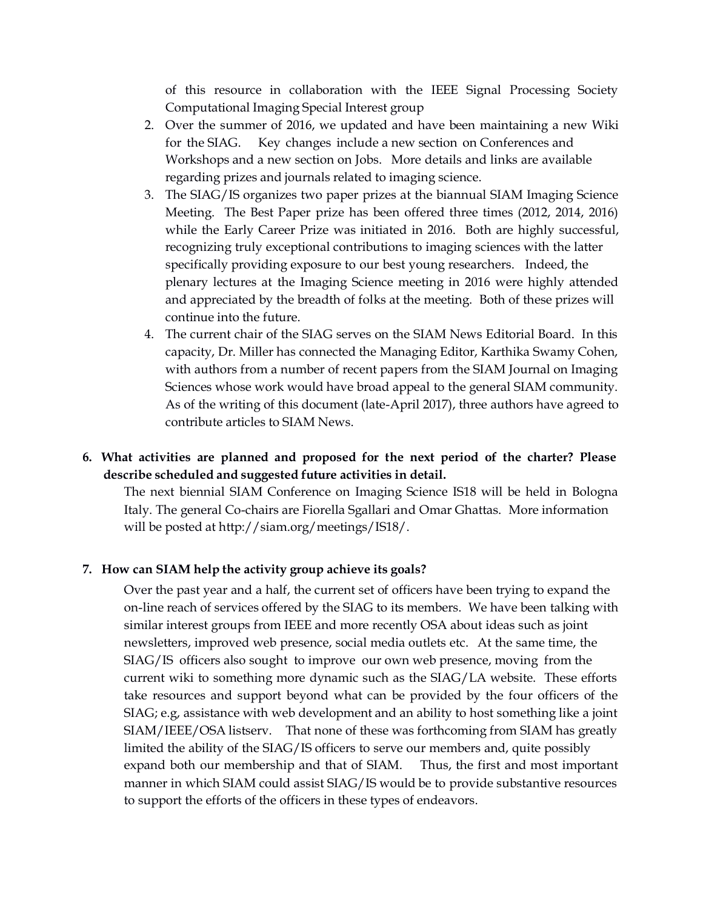of this resource in collaboration with the IEEE Signal Processing Society Computational Imaging Special Interest group

- 2. Over the summer of 2016, we updated and have been maintaining a new Wiki for the SIAG. Key changes include a new section on Conferences and Workshops and a new section on Jobs. More details and links are available regarding prizes and journals related to imaging science.
- 3. The SIAG/IS organizes two paper prizes at the biannual SIAM Imaging Science Meeting. The Best Paper prize has been offered three times (2012, 2014, 2016) while the Early Career Prize was initiated in 2016. Both are highly successful, recognizing truly exceptional contributions to imaging sciences with the latter specifically providing exposure to our best young researchers. Indeed, the plenary lectures at the Imaging Science meeting in 2016 were highly attended and appreciated by the breadth of folks at the meeting. Both of these prizes will continue into the future.
- 4. The current chair of the SIAG serves on the SIAM News Editorial Board. In this capacity, Dr. Miller has connected the Managing Editor, Karthika Swamy Cohen, with authors from a number of recent papers from the SIAM Journal on Imaging Sciences whose work would have broad appeal to the general SIAM community. As of the writing of this document (late-April 2017), three authors have agreed to contribute articles to SIAM News.

#### **6. What activities are planned and proposed for the next period of the charter? Please describe scheduled and suggested future activities in detail.**

The next biennial SIAM Conference on Imaging Science IS18 will be held in Bologna Italy. The general Co-chairs are Fiorella Sgallari and Omar Ghattas. More information will be posted at [http://siam.org/meetings/IS18/.](http://siam.org/meetings/IS18/)

#### **7. How can SIAM help the activity group achieve its goals?**

Over the past year and a half, the current set of officers have been trying to expand the on-line reach of services offered by the SIAG to its members. We have been talking with similar interest groups from IEEE and more recently OSA about ideas such as joint newsletters, improved web presence, social media outlets etc. At the same time, the SIAG/IS officers also sought to improve our own web presence, moving from the current wiki to something more dynamic such as the SIAG/LA website. These efforts take resources and support beyond what can be provided by the four officers of the SIAG; e.g, assistance with web development and an ability to host something like a joint SIAM/IEEE/OSA listserv. That none of these was forthcoming from SIAM has greatly limited the ability of the SIAG/IS officers to serve our members and, quite possibly expand both our membership and that of SIAM. Thus, the first and most important manner in which SIAM could assist SIAG/IS would be to provide substantive resources to support the efforts of the officers in these types of endeavors.